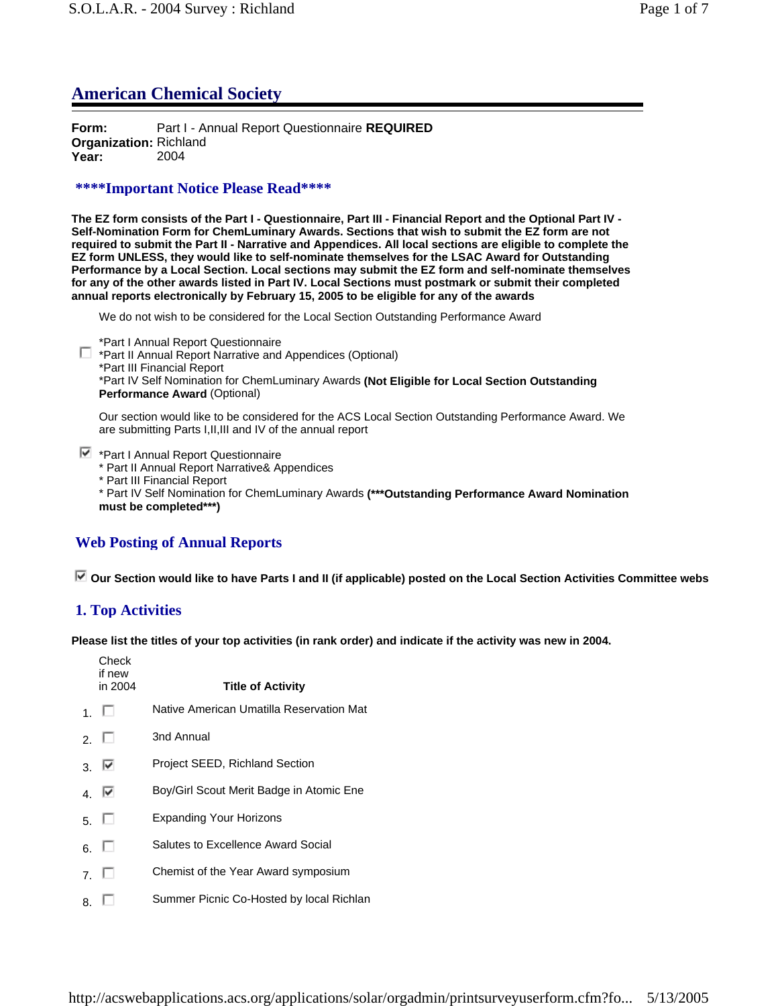# **American Chemical Society**

**Form:** Part I - Annual Report Questionnaire **REQUIRED Organization:** Richland **Year:** 2004

## **\*\*\*\*Important Notice Please Read\*\*\*\***

**The EZ form consists of the Part I - Questionnaire, Part III - Financial Report and the Optional Part IV - Self-Nomination Form for ChemLuminary Awards. Sections that wish to submit the EZ form are not required to submit the Part II - Narrative and Appendices. All local sections are eligible to complete the EZ form UNLESS, they would like to self-nominate themselves for the LSAC Award for Outstanding Performance by a Local Section. Local sections may submit the EZ form and self-nominate themselves for any of the other awards listed in Part IV. Local Sections must postmark or submit their completed annual reports electronically by February 15, 2005 to be eligible for any of the awards**

We do not wish to be considered for the Local Section Outstanding Performance Award

\*Part I Annual Report Questionnaire

\*Part II Annual Report Narrative and Appendices (Optional) \*Part III Financial Report \*Part IV Self Nomination for ChemLuminary Awards **(Not Eligible for Local Section Outstanding Performance Award** (Optional)

Our section would like to be considered for the ACS Local Section Outstanding Performance Award. We are submitting Parts I,II,III and IV of the annual report

 $\blacktriangleright$  \*Part I Annual Report Questionnaire

\* Part II Annual Report Narrative& Appendices

\* Part III Financial Report

\* Part IV Self Nomination for ChemLuminary Awards **(\*\*\*Outstanding Performance Award Nomination must be completed\*\*\*)**

## **Web Posting of Annual Reports**

 **Our Section would like to have Parts I and II (if applicable) posted on the Local Section Activities Committee webs**

## **1. Top Activities**

**Please list the titles of your top activities (in rank order) and indicate if the activity was new in 2004.**

**Check** if new in 2004 **Title of Activity**  $1. \Box$  Native American Umatilla Reservation Mat  $2 \square$  3nd Annual 3. **W** Project SEED, Richland Section 4. **W** Boy/Girl Scout Merit Badge in Atomic Ene 5. Expanding Your Horizons  $6. \Box$  Salutes to Excellence Award Social 7. Chemist of the Year Award symposium  $8. \Box$  Summer Picnic Co-Hosted by local Richlan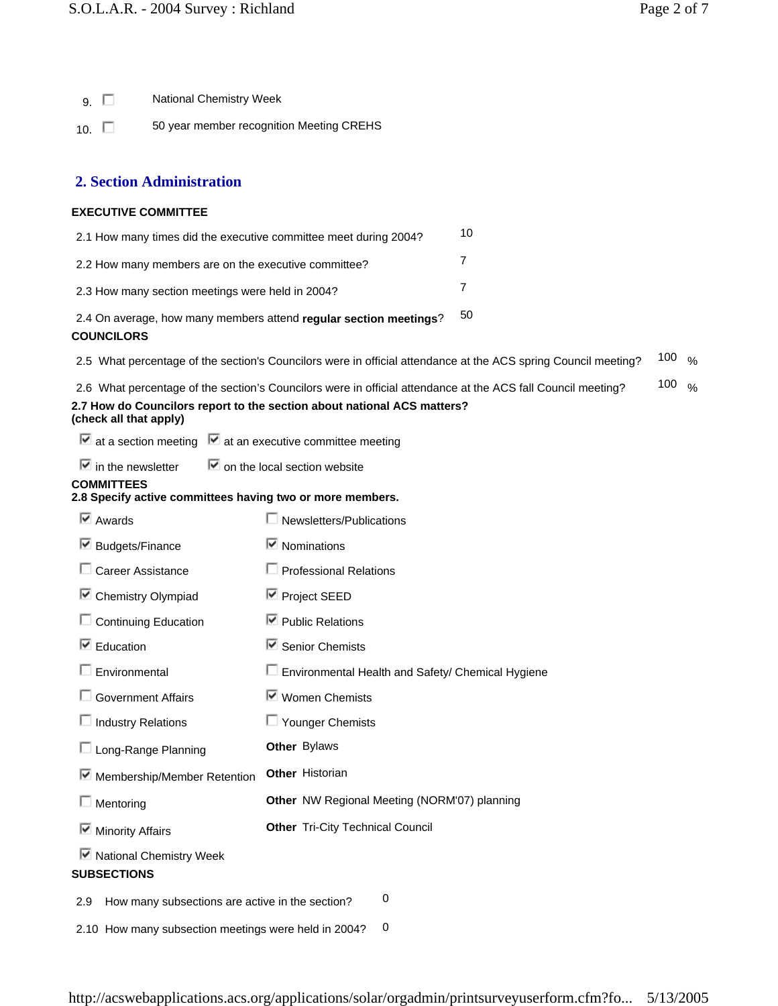9. National Chemistry Week

10. **50 year member recognition Meeting CREHS** 

## **2. Section Administration**

#### **EXECUTIVE COMMITTEE**

| 2.1 How many times did the executive committee meet during 2004?  | 10 |
|-------------------------------------------------------------------|----|
| 2.2 How many members are on the executive committee?              |    |
| 2.3 How many section meetings were held in 2004?                  |    |
| 2.4 On average, how many members attend regular section meetings? | 50 |

#### **COUNCILORS**

2.5 What percentage of the section's Councilors were in official attendance at the ACS spring Council meeting? 100 %

| 2.6 What percentage of the section's Councilors were in official attendance at the ACS fall Council meeting? | 100 $\frac{9}{6}$ |  |
|--------------------------------------------------------------------------------------------------------------|-------------------|--|
| 2.7 How do Councilors report to the section about national ACS matters?<br>(check all that apply)            |                   |  |

 $\overline{\triangledown}$  at a section meeting  $\overline{\triangledown}$  at an executive committee meeting

 $\overline{\triangledown}$  in the newsletter  $\overline{\triangledown}$  on the local section website

#### **COMMITTEES**

### **2.8 Specify active committees having two or more members.**

| $\overline{\triangleright}$ Awards                          | Newsletters/Publications                            |  |  |
|-------------------------------------------------------------|-----------------------------------------------------|--|--|
| ■ Budgets/Finance                                           | $\blacksquare$ Nominations                          |  |  |
| $\Box$ Career Assistance                                    | $\Box$ Professional Relations                       |  |  |
| ■ Chemistry Olympiad                                        | <b>■</b> Project SEED                               |  |  |
| $\Box$ Continuing Education                                 | $\nabla$ Public Relations                           |  |  |
| $\blacksquare$ Education                                    | <b>■</b> Senior Chemists                            |  |  |
| $\Box$ Environmental                                        | Environmental Health and Safety/ Chemical Hygiene   |  |  |
| $\Box$ Government Affairs                                   | ■ Women Chemists                                    |  |  |
| $\Box$ Industry Relations                                   | $\Box$ Younger Chemists                             |  |  |
| □ Long-Range Planning                                       | Other Bylaws                                        |  |  |
| Membership/Member Retention                                 | <b>Other Historian</b>                              |  |  |
| $\Box$ Mentoring                                            | <b>Other</b> NW Regional Meeting (NORM'07) planning |  |  |
| ■ Minority Affairs                                          | <b>Other Tri-City Technical Council</b>             |  |  |
| ■ National Chemistry Week                                   |                                                     |  |  |
| <b>SUBSECTIONS</b>                                          |                                                     |  |  |
| 0<br>How many subsections are active in the section?<br>2.9 |                                                     |  |  |
| 2.10 How many subsection meetings were held in 2004?        | 0                                                   |  |  |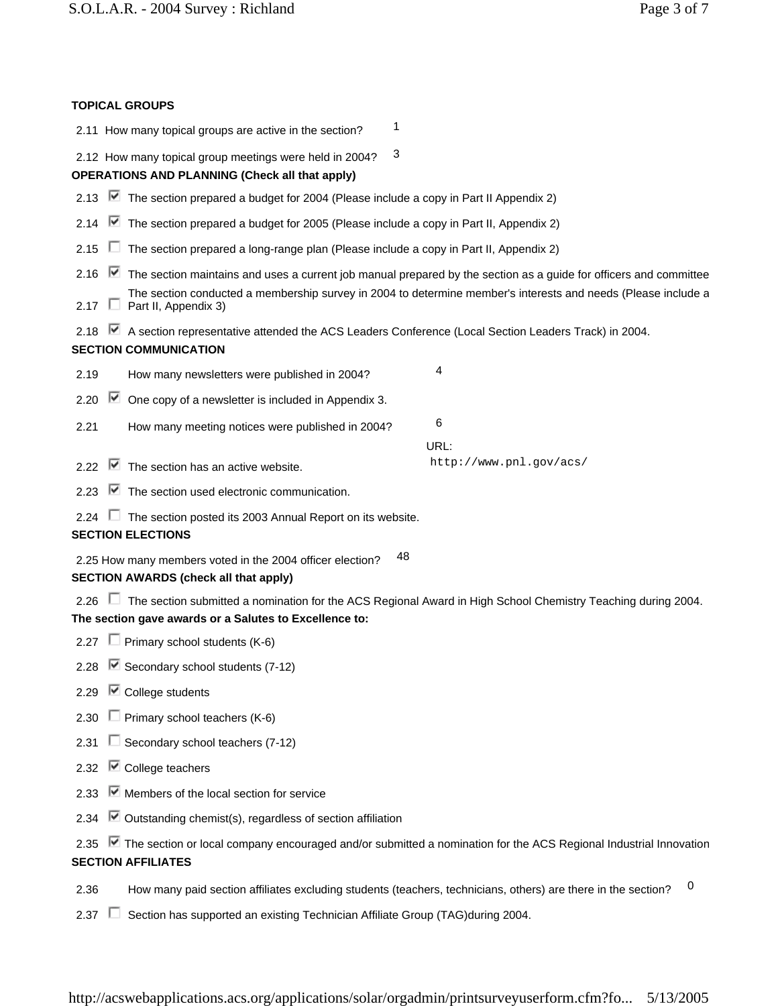| Page 3 of 7 |  |  |
|-------------|--|--|
|             |  |  |

| <b>TOPICAL GROUPS</b>                                                                                                                                                         |                                                                                                               |
|-------------------------------------------------------------------------------------------------------------------------------------------------------------------------------|---------------------------------------------------------------------------------------------------------------|
| 1<br>2.11 How many topical groups are active in the section?                                                                                                                  |                                                                                                               |
| 3<br>2.12 How many topical group meetings were held in 2004?<br><b>OPERATIONS AND PLANNING (Check all that apply)</b>                                                         |                                                                                                               |
| 2.13 ■ The section prepared a budget for 2004 (Please include a copy in Part II Appendix 2)                                                                                   |                                                                                                               |
| $\blacksquare$ The section prepared a budget for 2005 (Please include a copy in Part II, Appendix 2)<br>2.14                                                                  |                                                                                                               |
| $\Box$ The section prepared a long-range plan (Please include a copy in Part II, Appendix 2)<br>2.15                                                                          |                                                                                                               |
| 2.16 • The section maintains and uses a current job manual prepared by the section as a guide for officers and committee<br>2.17 $\Box$ Part II, Appendix 3)                  | The section conducted a membership survey in 2004 to determine member's interests and needs (Please include a |
| 2.18 Ø A section representative attended the ACS Leaders Conference (Local Section Leaders Track) in 2004.<br><b>SECTION COMMUNICATION</b>                                    |                                                                                                               |
| How many newsletters were published in 2004?<br>2.19                                                                                                                          | 4                                                                                                             |
| 2.20 $\overline{\triangledown}$<br>One copy of a newsletter is included in Appendix 3.                                                                                        |                                                                                                               |
| 2.21<br>How many meeting notices were published in 2004?                                                                                                                      | 6                                                                                                             |
| $\blacksquare$ The section has an active website.<br>2.22                                                                                                                     | URL:<br>http://www.pnl.gov/acs/                                                                               |
| $\blacksquare$ The section used electronic communication.<br>2.23                                                                                                             |                                                                                                               |
| $\Box$ The section posted its 2003 Annual Report on its website.<br>2.24<br><b>SECTION ELECTIONS</b>                                                                          |                                                                                                               |
| 48<br>2.25 How many members voted in the 2004 officer election?<br><b>SECTION AWARDS (check all that apply)</b>                                                               |                                                                                                               |
| 2.26 ■ The section submitted a nomination for the ACS Regional Award in High School Chemistry Teaching during 2004.<br>The section gave awards or a Salutes to Excellence to: |                                                                                                               |
| 2.27 $\Box$ Primary school students (K-6)                                                                                                                                     |                                                                                                               |
| 2.28 Secondary school students (7-12)                                                                                                                                         |                                                                                                               |
| $\blacksquare$ College students<br>2.29                                                                                                                                       |                                                                                                               |
| $\Box$ Primary school teachers (K-6)<br>2.30                                                                                                                                  |                                                                                                               |
| $\Box$ Secondary school teachers (7-12)<br>2.31                                                                                                                               |                                                                                                               |
| $\blacksquare$ College teachers<br>2.32                                                                                                                                       |                                                                                                               |
| $\blacktriangleright$ Members of the local section for service<br>2.33                                                                                                        |                                                                                                               |
| $\blacksquare$ Outstanding chemist(s), regardless of section affiliation<br>2.34                                                                                              |                                                                                                               |
| ■ The section or local company encouraged and/or submitted a nomination for the ACS Regional Industrial Innovation<br>2.35<br><b>SECTION AFFILIATES</b>                       |                                                                                                               |
| How many paid section affiliates excluding students (teachers, technicians, others) are there in the section?<br>2.36                                                         | 0                                                                                                             |
| Section has supported an existing Technician Affiliate Group (TAG)during 2004.<br>2.37                                                                                        |                                                                                                               |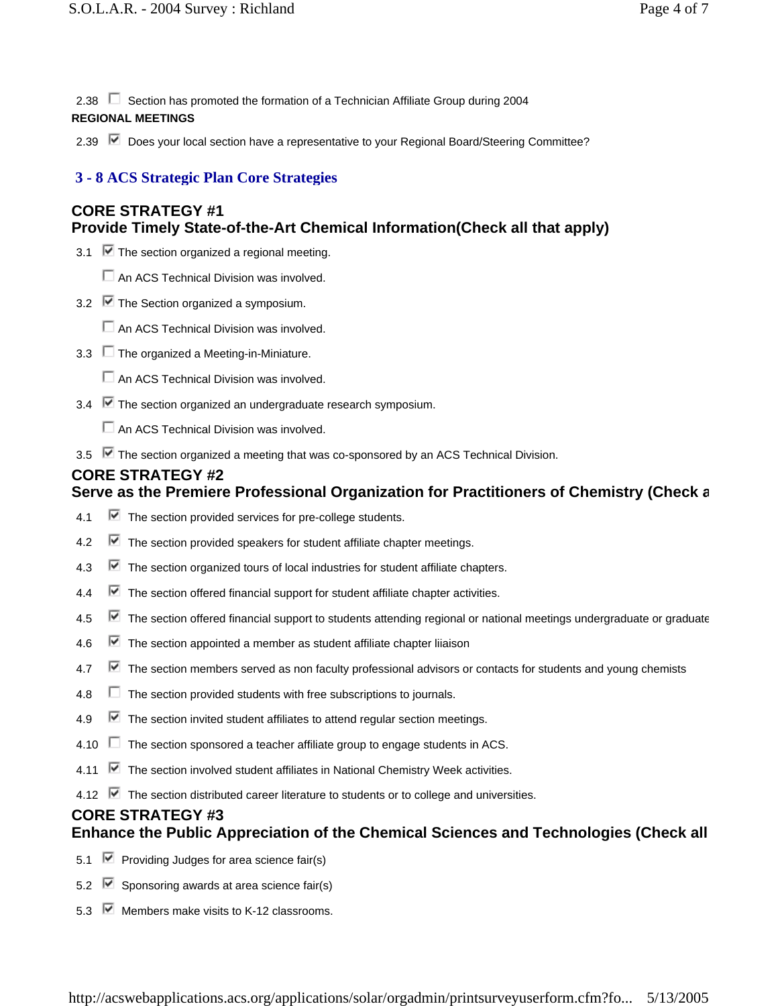2.38  $\Box$  Section has promoted the formation of a Technician Affiliate Group during 2004

## **REGIONAL MEETINGS**

2.39 **■** Does your local section have a representative to your Regional Board/Steering Committee?

## **3 - 8 ACS Strategic Plan Core Strategies**

# **CORE STRATEGY #1 Provide Timely State-of-the-Art Chemical Information(Check all that apply)**

- 3.1  $\triangledown$  The section organized a regional meeting.
	- $\Box$  An ACS Technical Division was involved.
- 3.2  $\triangleright$  The Section organized a symposium.
	- $\Box$  An ACS Technical Division was involved.
- 3.3  $\Box$  The organized a Meeting-in-Miniature.
	- An ACS Technical Division was involved.
- 3.4 **■** The section organized an undergraduate research symposium.
	- An ACS Technical Division was involved.
- 3.5  $\blacktriangleright$  The section organized a meeting that was co-sponsored by an ACS Technical Division.

## **CORE STRATEGY #2**

# **Serve as the Premiere Professional Organization for Practitioners of Chemistry (Check a**

- 4.1  $\blacktriangleright$  The section provided services for pre-college students.
- 4.2  $\blacksquare$  The section provided speakers for student affiliate chapter meetings.
- 4.3 The section organized tours of local industries for student affiliate chapters.
- 4.4  $\blacksquare$  The section offered financial support for student affiliate chapter activities.
- 4.5  $\blacksquare$  The section offered financial support to students attending regional or national meetings undergraduate or graduate
- 4.6  $\blacksquare$  The section appointed a member as student affiliate chapter liiaison
- 4.7  $\blacksquare$  The section members served as non faculty professional advisors or contacts for students and young chemists
- $4.8$   $\Box$  The section provided students with free subscriptions to journals.
- 4.9  $\blacksquare$  The section invited student affiliates to attend regular section meetings.
- 4.10  $\Box$  The section sponsored a teacher affiliate group to engage students in ACS.
- 4.11  $\blacksquare$  The section involved student affiliates in National Chemistry Week activities.
- 4.12  $\blacktriangledown$  The section distributed career literature to students or to college and universities.

### **CORE STRATEGY #3 Enhance the Public Appreciation of the Chemical Sciences and Technologies (Check all**

- 5.1  $\blacktriangleright$  Providing Judges for area science fair(s)
- 5.2  $\triangledown$  Sponsoring awards at area science fair(s)
- 5.3  $\overline{\triangledown}$  Members make visits to K-12 classrooms.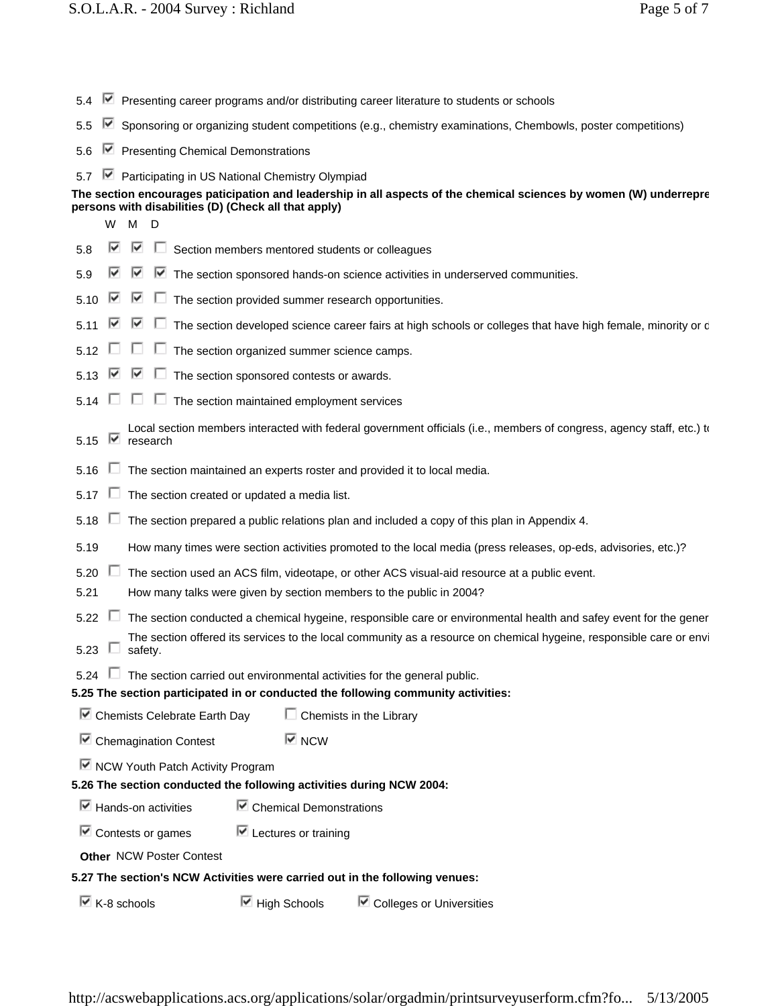| 5.4                                                                         | Presenting career programs and/or distributing career literature to students or schools |                                                                                      |                                                     |                                                                                                                       |
|-----------------------------------------------------------------------------|-----------------------------------------------------------------------------------------|--------------------------------------------------------------------------------------|-----------------------------------------------------|-----------------------------------------------------------------------------------------------------------------------|
| 5.5                                                                         | M                                                                                       |                                                                                      |                                                     | Sponsoring or organizing student competitions (e.g., chemistry examinations, Chembowls, poster competitions)          |
| 5.6                                                                         |                                                                                         | ■ Presenting Chemical Demonstrations                                                 |                                                     |                                                                                                                       |
| 5.7                                                                         | M                                                                                       | Participating in US National Chemistry Olympiad                                      |                                                     |                                                                                                                       |
|                                                                             |                                                                                         |                                                                                      |                                                     | The section encourages paticipation and leadership in all aspects of the chemical sciences by women (W) underrepre    |
|                                                                             | W                                                                                       | persons with disabilities (D) (Check all that apply)<br>M                            |                                                     |                                                                                                                       |
| 5.8                                                                         | ⊮                                                                                       | D<br>⊮                                                                               | Section members mentored students or colleagues     |                                                                                                                       |
|                                                                             |                                                                                         |                                                                                      |                                                     |                                                                                                                       |
| 5.9                                                                         | ⊮                                                                                       | M<br>M                                                                               |                                                     | The section sponsored hands-on science activities in underserved communities.                                         |
| 5.10                                                                        | M                                                                                       | M                                                                                    | The section provided summer research opportunities. |                                                                                                                       |
| 5.11                                                                        |                                                                                         | ⊮<br>$\mathbf{L}$                                                                    |                                                     | The section developed science career fairs at high schools or colleges that have high female, minority or c           |
| 5.12                                                                        |                                                                                         |                                                                                      | The section organized summer science camps.         |                                                                                                                       |
| 5.13                                                                        |                                                                                         | M                                                                                    | The section sponsored contests or awards.           |                                                                                                                       |
| 5.14                                                                        |                                                                                         |                                                                                      | The section maintained employment services          |                                                                                                                       |
| 5.15                                                                        | ⊮                                                                                       | research                                                                             |                                                     | Local section members interacted with federal government officials (i.e., members of congress, agency staff, etc.) to |
| 5.16                                                                        |                                                                                         |                                                                                      |                                                     | The section maintained an experts roster and provided it to local media.                                              |
| 5.17                                                                        |                                                                                         | The section created or updated a media list.                                         |                                                     |                                                                                                                       |
| 5.18                                                                        | U                                                                                       |                                                                                      |                                                     | The section prepared a public relations plan and included a copy of this plan in Appendix 4.                          |
| 5.19                                                                        |                                                                                         |                                                                                      |                                                     | How many times were section activities promoted to the local media (press releases, op-eds, advisories, etc.)?        |
| 5.20                                                                        | ш                                                                                       |                                                                                      |                                                     | The section used an ACS film, videotape, or other ACS visual-aid resource at a public event.                          |
| 5.21                                                                        |                                                                                         |                                                                                      |                                                     | How many talks were given by section members to the public in 2004?                                                   |
| 5.22                                                                        | ш                                                                                       |                                                                                      |                                                     | The section conducted a chemical hygeine, responsible care or environmental health and safey event for the gener      |
| 5.23                                                                        | ш                                                                                       | safety.                                                                              |                                                     | The section offered its services to the local community as a resource on chemical hygeine, responsible care or envi   |
|                                                                             |                                                                                         | 5.24 $\Box$ The section carried out environmental activities for the general public. |                                                     |                                                                                                                       |
|                                                                             |                                                                                         |                                                                                      |                                                     | 5.25 The section participated in or conducted the following community activities:                                     |
|                                                                             |                                                                                         | Chemists Celebrate Earth Day                                                         | $\Box$ Chemists in the Library                      |                                                                                                                       |
|                                                                             |                                                                                         | □ Chemagination Contest                                                              | $\overline{\triangledown}$ NCW                      |                                                                                                                       |
|                                                                             |                                                                                         | ■ NCW Youth Patch Activity Program                                                   |                                                     |                                                                                                                       |
|                                                                             |                                                                                         | 5.26 The section conducted the following activities during NCW 2004:                 |                                                     |                                                                                                                       |
|                                                                             |                                                                                         | $\triangleright$ Hands-on activities                                                 | $\triangleright$ Chemical Demonstrations            |                                                                                                                       |
|                                                                             |                                                                                         | $\overline{\mathbb{F}}$ Contests or games                                            | $\overline{\mathbf{M}}$ Lectures or training        |                                                                                                                       |
| <b>Other NCW Poster Contest</b>                                             |                                                                                         |                                                                                      |                                                     |                                                                                                                       |
| 5.27 The section's NCW Activities were carried out in the following venues: |                                                                                         |                                                                                      |                                                     |                                                                                                                       |
|                                                                             |                                                                                         | $\triangleright$ K-8 schools                                                         | $\blacksquare$ High Schools                         | ■ Colleges or Universities                                                                                            |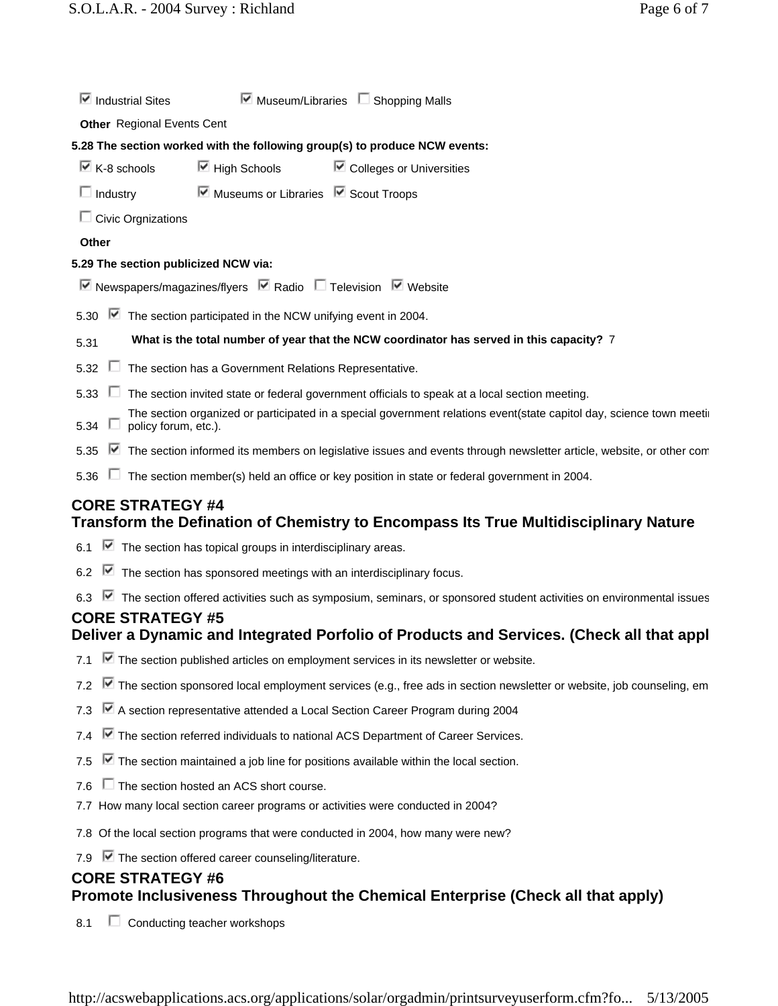|                                     | $\blacktriangleright$ Museum/Libraries $\blacktriangleright$ Shopping Malls<br>$\blacksquare$ Industrial Sites                               |  |
|-------------------------------------|----------------------------------------------------------------------------------------------------------------------------------------------|--|
|                                     | <b>Other</b> Regional Events Cent                                                                                                            |  |
|                                     | 5.28 The section worked with the following group(s) to produce NCW events:                                                                   |  |
| $\overline{\mathbb{M}}$ K-8 schools | $\boxdot$ High Schools<br>$\blacksquare$ Colleges or Universities                                                                            |  |
| $\Box$ Industry                     | $\triangleright$ Museums or Libraries $\triangleright$ Scout Troops                                                                          |  |
|                                     | $\Box$ Civic Orgnizations                                                                                                                    |  |
| Other                               |                                                                                                                                              |  |
|                                     | 5.29 The section publicized NCW via:                                                                                                         |  |
|                                     | $\triangledown$ Newspapers/magazines/flyers $\triangledown$ Radio $\square$ Television $\triangledown$ Website                               |  |
| 5.30                                | $\blacksquare$ The section participated in the NCW unifying event in 2004.                                                                   |  |
| 5.31                                | What is the total number of year that the NCW coordinator has served in this capacity? 7                                                     |  |
| 5.32                                | The section has a Government Relations Representative.                                                                                       |  |
|                                     | 5.33 The section invited state or federal government officials to speak at a local section meeting.                                          |  |
| 5.34 $\Box$                         | The section organized or participated in a special government relations event(state capitol day, science town meetin<br>policy forum, etc.). |  |
| 5.35                                | ■ The section informed its members on legislative issues and events through newsletter article, website, or other com                        |  |
| 5.36                                | $\Box$ The section member(s) held an office or key position in state or federal government in 2004.                                          |  |
|                                     | <b>CORE STRATEGY #4</b><br>Transform the Defination of Chemistry to Encompass Its True Multidisciplinary Nature                              |  |
|                                     | 6.1 $\blacksquare$ The section has topical groups in interdisciplinary areas.                                                                |  |
|                                     | 6.2 $\blacksquare$ The section has sponsored meetings with an interdisciplinary focus.                                                       |  |
|                                     | 6.3 ■ The section offered activities such as symposium, seminars, or sponsored student activities on environmental issues                    |  |
|                                     | <b>CORE STRATEGY #5</b><br>Deliver a Dynamic and Integrated Porfolio of Products and Services. (Check all that appl                          |  |
|                                     | 7.1 The section published articles on employment services in its newsletter or website.                                                      |  |
| 7.2                                 | $\blacktriangleright$ The section sponsored local employment services (e.g., free ads in section newsletter or website, job counseling, em   |  |
| 7.3                                 | ■ A section representative attended a Local Section Career Program during 2004                                                               |  |
| 7.4                                 | ■ The section referred individuals to national ACS Department of Career Services.                                                            |  |
| 7.5                                 | $\blacktriangleright$ The section maintained a job line for positions available within the local section.                                    |  |
| 7.6                                 | $\Box$ The section hosted an ACS short course.                                                                                               |  |
|                                     | 7.7 How many local section career programs or activities were conducted in 2004?                                                             |  |
|                                     | 7.8 Of the local section programs that were conducted in 2004, how many were new?                                                            |  |
|                                     | 7.9 The section offered career counseling/literature.                                                                                        |  |
|                                     | <b>CORE STRATEGY #6</b><br>Promote Inclusiveness Throughout the Chemical Enterprise (Check all that apply)                                   |  |
|                                     |                                                                                                                                              |  |
| 8.1                                 | $\Box$ Conducting teacher workshops                                                                                                          |  |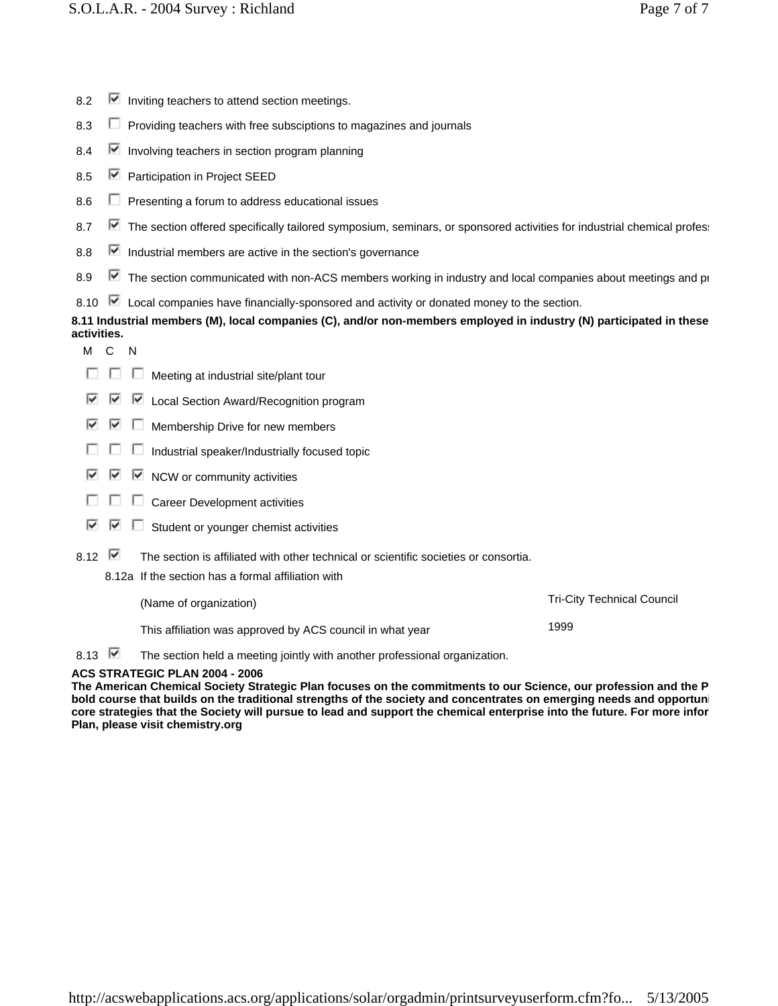- 8.2  $\triangleright$  Inviting teachers to attend section meetings.
- 8.3  $\Box$  Providing teachers with free subsciptions to magazines and iournals
- 8.4  $\triangledown$  Involving teachers in section program planning
- 8.5 **■** Participation in Project SEED
- 8.6  $\Box$  Presenting a forum to address educational issues
- 8.7  $\blacktriangleright$  The section offered specifically tailored symposium, seminars, or sponsored activities for industrial chemical profes:
- 8.8  $\triangleright$  Industrial members are active in the section's governance
- 8.9 The section communicated with non-ACS members working in industry and local companies about meetings and pro
- 8.10  $\blacktriangleright$  Local companies have financially-sponsored and activity or donated money to the section.

# **8.11 Industrial members (M), local companies (C), and/or non-members employed in industry (N) participated in these activities.**

- M<sub>C</sub>N
- $\Box$   $\Box$  Meeting at industrial site/plant tour
- $\nabla$   $\nabla$  Local Section Award/Recognition program
- $\blacksquare$   $\blacksquare$  Membership Drive for new members
- $\Box$   $\Box$  Industrial speaker/Industrially focused topic
- $\overline{\triangledown}$   $\overline{\triangledown}$  NCW or community activities
- $\Box$   $\Box$   $\Box$  Career Development activities
- $\Box$  Student or younger chemist activities ⊽ ا⊽
- 8.12  $\blacksquare$  The section is affiliated with other technical or scientific societies or consortia.
	- 8.12a If the section has a formal affiliation with

| (Name of organization)                                    | <b>Tri-City Technical Council</b> |
|-----------------------------------------------------------|-----------------------------------|
| This affiliation was approved by ACS council in what year | 1999                              |

8.13  $\blacksquare$  The section held a meeting jointly with another professional organization.

### **ACS STRATEGIC PLAN 2004 - 2006**

**The American Chemical Society Strategic Plan focuses on the commitments to our Science, our profession and the P bold course that builds on the traditional strengths of the society and concentrates on emerging needs and opportuni core strategies that the Society will pursue to lead and support the chemical enterprise into the future. For more infor Plan, please visit chemistry.org**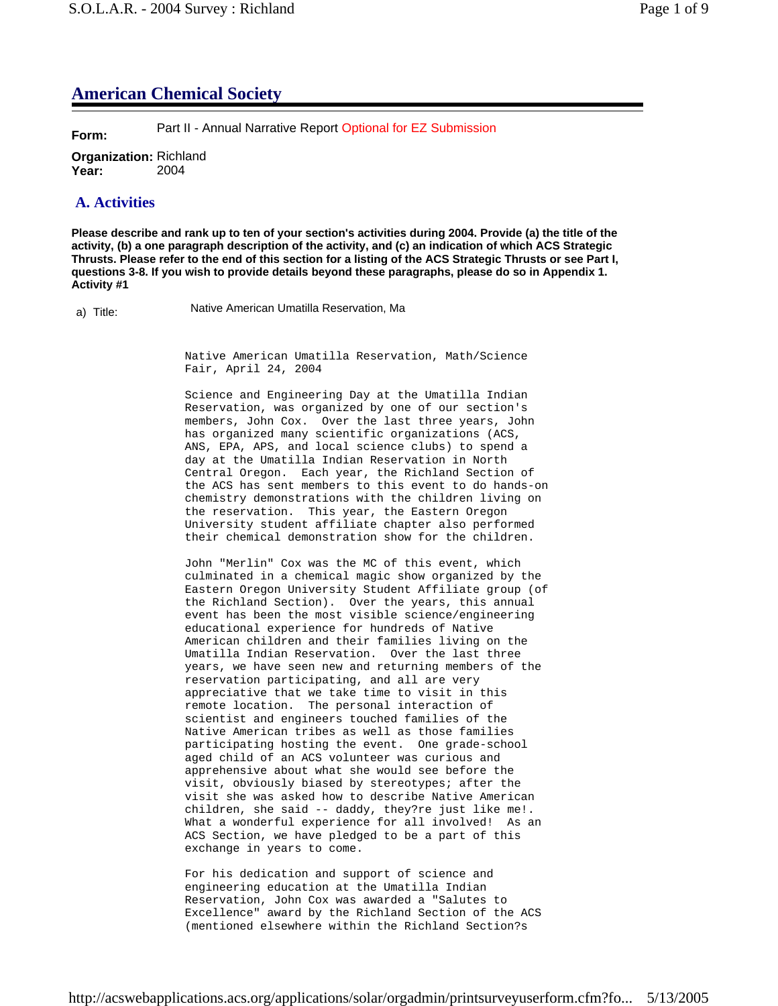# **American Chemical Society**

**Form:** Part II - Annual Narrative Report Optional for EZ Submission

**Organization:** Richland **Year:** 2004

# **A. Activities**

**Please describe and rank up to ten of your section's activities during 2004. Provide (a) the title of the activity, (b) a one paragraph description of the activity, and (c) an indication of which ACS Strategic Thrusts. Please refer to the end of this section for a listing of the ACS Strategic Thrusts or see Part I, questions 3-8. If you wish to provide details beyond these paragraphs, please do so in Appendix 1. Activity #1**

a) Title: Native American Umatilla Reservation, Ma

Native American Umatilla Reservation, Math/Science Fair, April 24, 2004

Science and Engineering Day at the Umatilla Indian Reservation, was organized by one of our section's members, John Cox. Over the last three years, John has organized many scientific organizations (ACS, ANS, EPA, APS, and local science clubs) to spend a day at the Umatilla Indian Reservation in North Central Oregon. Each year, the Richland Section of the ACS has sent members to this event to do hands-on chemistry demonstrations with the children living on the reservation. This year, the Eastern Oregon University student affiliate chapter also performed their chemical demonstration show for the children.

John "Merlin" Cox was the MC of this event, which culminated in a chemical magic show organized by the Eastern Oregon University Student Affiliate group (of the Richland Section). Over the years, this annual event has been the most visible science/engineering educational experience for hundreds of Native American children and their families living on the Umatilla Indian Reservation. Over the last three years, we have seen new and returning members of the reservation participating, and all are very appreciative that we take time to visit in this remote location. The personal interaction of scientist and engineers touched families of the Native American tribes as well as those families participating hosting the event. One grade-school aged child of an ACS volunteer was curious and apprehensive about what she would see before the visit, obviously biased by stereotypes; after the visit she was asked how to describe Native American children, she said -- daddy, they?re just like me!. What a wonderful experience for all involved! As an ACS Section, we have pledged to be a part of this exchange in years to come.

For his dedication and support of science and engineering education at the Umatilla Indian Reservation, John Cox was awarded a "Salutes to Excellence" award by the Richland Section of the ACS (mentioned elsewhere within the Richland Section?s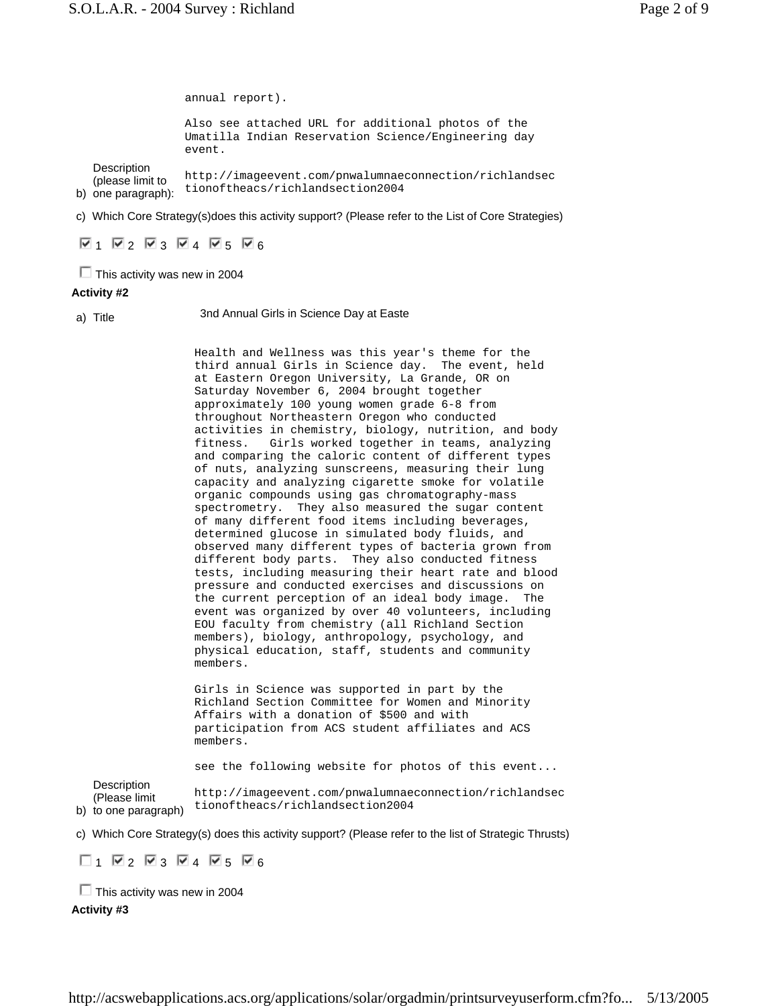b) one paragraph): **Description** (please limit to annual report). Also see attached URL for additional photos of the Umatilla Indian Reservation Science/Engineering day event. http://imageevent.com/pnwalumnaeconnection/richlandsec tionoftheacs/richlandsection2004

c) Which Core Strategy(s)does this activity support? (Please refer to the List of Core Strategies)

 $\nabla$ 1  $\nabla$ 2  $\nabla$ 3  $\nabla$ 4  $\nabla$ 5  $\nabla$ 6

 $\Box$  This activity was new in 2004

## **Activity #2**

a) Title 3nd Annual Girls in Science Day at Easte

Health and Wellness was this year's theme for the third annual Girls in Science day. The event, held at Eastern Oregon University, La Grande, OR on Saturday November 6, 2004 brought together approximately 100 young women grade 6-8 from throughout Northeastern Oregon who conducted activities in chemistry, biology, nutrition, and body fitness. Girls worked together in teams, analyzing and comparing the caloric content of different types of nuts, analyzing sunscreens, measuring their lung capacity and analyzing cigarette smoke for volatile organic compounds using gas chromatography-mass spectrometry. They also measured the sugar content of many different food items including beverages, determined glucose in simulated body fluids, and observed many different types of bacteria grown from different body parts. They also conducted fitness tests, including measuring their heart rate and blood pressure and conducted exercises and discussions on the current perception of an ideal body image. The event was organized by over 40 volunteers, including EOU faculty from chemistry (all Richland Section members), biology, anthropology, psychology, and physical education, staff, students and community members.

Girls in Science was supported in part by the Richland Section Committee for Women and Minority Affairs with a donation of \$500 and with participation from ACS student affiliates and ACS members.

see the following website for photos of this event...

**Description** 

b) to one paragraph) (Please limit http://imageevent.com/pnwalumnaeconnection/richlandsec tionoftheacs/richlandsection2004

c) Which Core Strategy(s) does this activity support? (Please refer to the list of Strategic Thrusts)

 $\Box$ 1  $\nabla$ 2  $\nabla$ 3  $\nabla$ 4  $\nabla$ 5  $\nabla$ 6

 $\Box$  This activity was new in 2004 **Activity #3**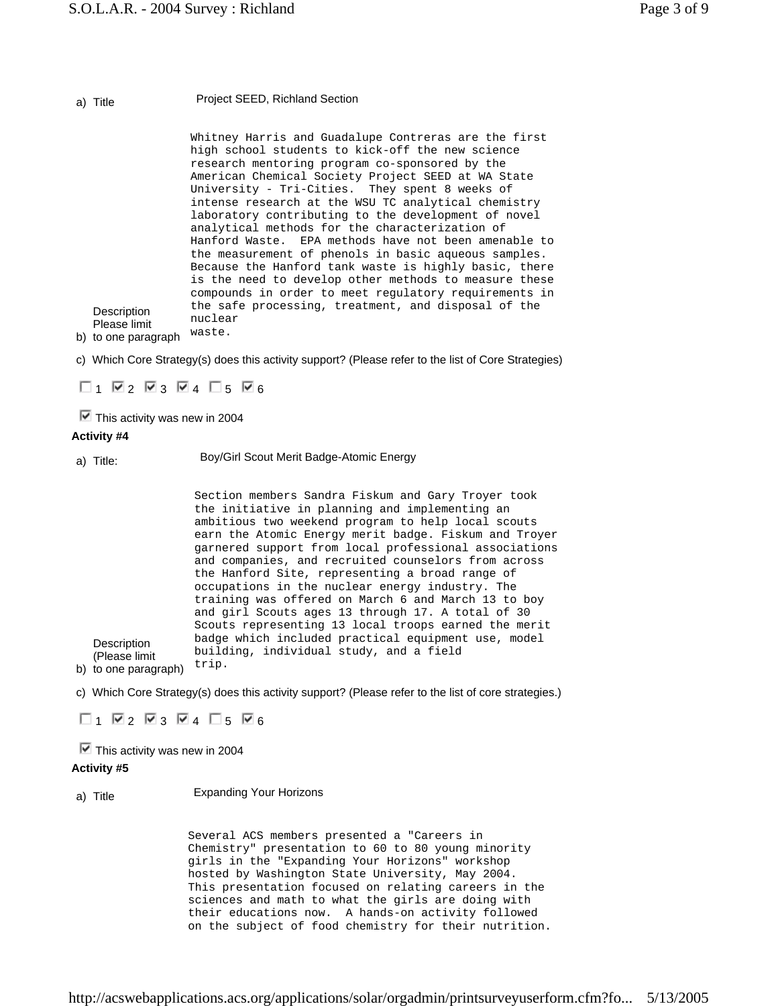### a) Title Project SEED, Richland Section

Whitney Harris and Guadalupe Contreras are the first high school students to kick-off the new science research mentoring program co-sponsored by the American Chemical Society Project SEED at WA State University - Tri-Cities. They spent 8 weeks of intense research at the WSU TC analytical chemistry laboratory contributing to the development of novel analytical methods for the characterization of Hanford Waste. EPA methods have not been amenable to the measurement of phenols in basic aqueous samples. Because the Hanford tank waste is highly basic, there is the need to develop other methods to measure these compounds in order to meet regulatory requirements in the safe processing, treatment, and disposal of the nuclear

b) to one paragraph waste.

**Description** Please limit

c) Which Core Strategy(s) does this activity support? (Please refer to the list of Core Strategies)

 $\Box$ 1  $\nabla$ 2  $\nabla$ 3  $\nabla$ 4  $\Box$ 5  $\nabla$ 6

 $\blacksquare$  This activity was new in 2004

#### **Activity #4**

a) Title: Boy/Girl Scout Merit Badge-Atomic Energy

Section members Sandra Fiskum and Gary Troyer took the initiative in planning and implementing an ambitious two weekend program to help local scouts earn the Atomic Energy merit badge. Fiskum and Troyer garnered support from local professional associations and companies, and recruited counselors from across the Hanford Site, representing a broad range of occupations in the nuclear energy industry. The training was offered on March 6 and March 13 to boy and girl Scouts ages 13 through 17. A total of 30 Scouts representing 13 local troops earned the merit badge which included practical equipment use, model building, individual study, and a field trip.

b) to one paragraph)

**Description** (Please limit

c) Which Core Strategy(s) does this activity support? (Please refer to the list of core strategies.)

 $\Box$ 1  $\nabla$ 2  $\nabla$ 3  $\nabla$ 4  $\nabla$ 5  $\nabla$ 6

 $\blacksquare$  This activity was new in 2004

### **Activity #5**

a) Title Expanding Your Horizons

Several ACS members presented a "Careers in Chemistry" presentation to 60 to 80 young minority girls in the "Expanding Your Horizons" workshop hosted by Washington State University, May 2004. This presentation focused on relating careers in the sciences and math to what the girls are doing with their educations now. A hands-on activity followed on the subject of food chemistry for their nutrition.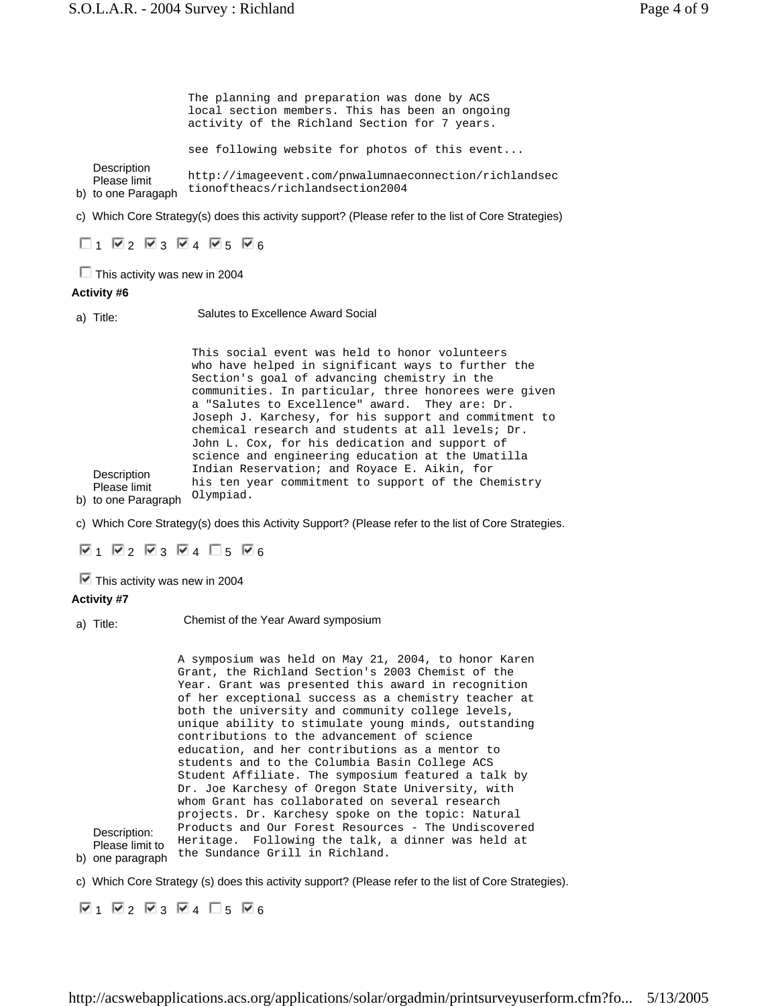b) to one Paragaph **Description** Please limit The planning and preparation was done by ACS local section members. This has been an ongoing activity of the Richland Section for 7 years. see following website for photos of this event... http://imageevent.com/pnwalumnaeconnection/richlandsec tionoftheacs/richlandsection2004

c) Which Core Strategy(s) does this activity support? (Please refer to the list of Core Strategies)

 $\Box$ 1  $\Box$ 2  $\Box$ 3  $\Box$ 4  $\Box$ 5  $\Box$ 6

 $\Box$  This activity was new in 2004

### **Activity #6**

a) Title: Salutes to Excellence Award Social

Description Please limit This social event was held to honor volunteers who have helped in significant ways to further the Section's goal of advancing chemistry in the communities. In particular, three honorees were given a "Salutes to Excellence" award. They are: Dr. Joseph J. Karchesy, for his support and commitment to chemical research and students at all levels; Dr. John L. Cox, for his dedication and support of science and engineering education at the Umatilla Indian Reservation; and Royace E. Aikin, for his ten year commitment to support of the Chemistry Olympiad.

b) to one Paragraph

c) Which Core Strategy(s) does this Activity Support? (Please refer to the list of Core Strategies.

 $\nabla_1$   $\nabla_2$   $\nabla_3$   $\nabla_4$   $\square_5$   $\nabla_6$ 

 $\blacksquare$  This activity was new in 2004

#### **Activity #7**

a) Title: Chemist of the Year Award symposium

b) one paragraph Description: Please limit to A symposium was held on May 21, 2004, to honor Karen Grant, the Richland Section's 2003 Chemist of the Year. Grant was presented this award in recognition of her exceptional success as a chemistry teacher at both the university and community college levels, unique ability to stimulate young minds, outstanding contributions to the advancement of science education, and her contributions as a mentor to students and to the Columbia Basin College ACS Student Affiliate. The symposium featured a talk by Dr. Joe Karchesy of Oregon State University, with whom Grant has collaborated on several research projects. Dr. Karchesy spoke on the topic: Natural Products and Our Forest Resources - The Undiscovered Heritage. Following the talk, a dinner was held at the Sundance Grill in Richland.

c) Which Core Strategy (s) does this activity support? (Please refer to the list of Core Strategies).

 $\nabla$ 1  $\nabla$ 2  $\nabla$ 3  $\nabla$ 4  $\nabla$ 5  $\nabla$ 6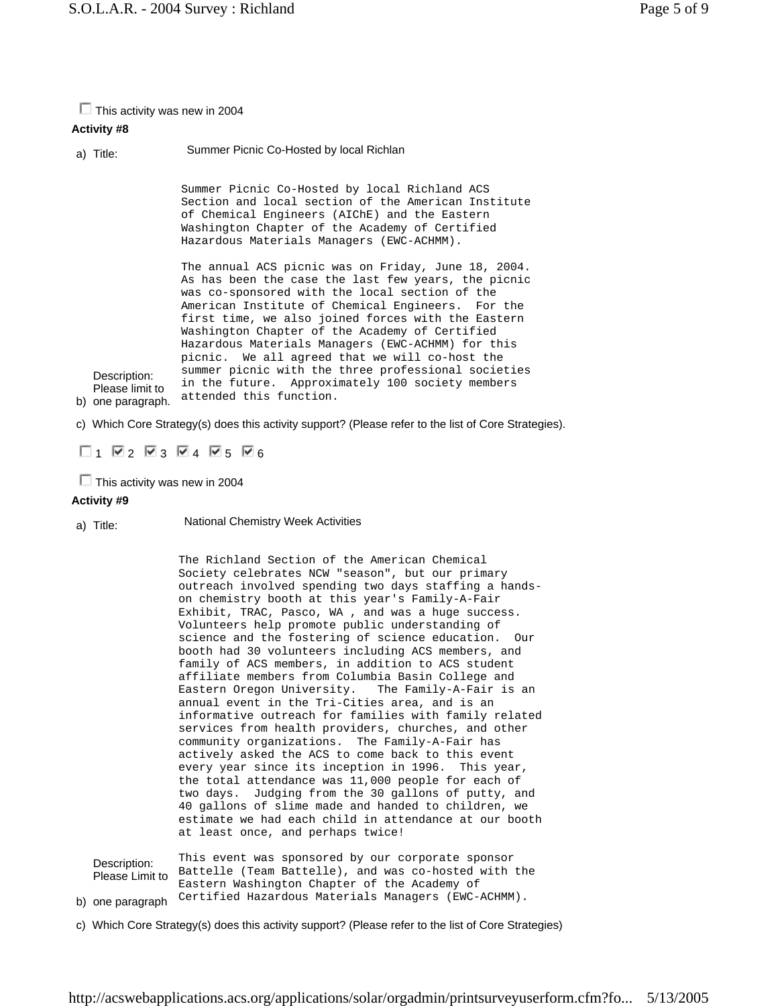$\Box$  This activity was new in 2004

# **Activity #8**

a) Title: Summer Picnic Co-Hosted by local Richlan

Summer Picnic Co-Hosted by local Richland ACS Section and local section of the American Institute of Chemical Engineers (AIChE) and the Eastern Washington Chapter of the Academy of Certified Hazardous Materials Managers (EWC-ACHMM).

b) one paragraph. attended this function. Please limit to The annual ACS picnic was on Friday, June 18, 2004. As has been the case the last few years, the picnic was co-sponsored with the local section of the American Institute of Chemical Engineers. For the first time, we also joined forces with the Eastern Washington Chapter of the Academy of Certified Hazardous Materials Managers (EWC-ACHMM) for this picnic. We all agreed that we will co-host the summer picnic with the three professional societies in the future. Approximately 100 society members

c) Which Core Strategy(s) does this activity support? (Please refer to the list of Core Strategies).

 $\Box$ 1  $\nabla$ 2  $\nabla$ 3  $\nabla$ 4  $\nabla$ 5  $\nabla$ 6

 $\Box$  This activity was new in 2004

## **Activity #9**

Description:

a) Title: National Chemistry Week Activities

The Richland Section of the American Chemical Society celebrates NCW "season", but our primary outreach involved spending two days staffing a handson chemistry booth at this year's Family-A-Fair Exhibit, TRAC, Pasco, WA , and was a huge success. Volunteers help promote public understanding of science and the fostering of science education. Our booth had 30 volunteers including ACS members, and family of ACS members, in addition to ACS student affiliate members from Columbia Basin College and Eastern Oregon University. The Family-A-Fair is an annual event in the Tri-Cities area, and is an informative outreach for families with family related services from health providers, churches, and other community organizations. The Family-A-Fair has actively asked the ACS to come back to this event every year since its inception in 1996. This year, the total attendance was 11,000 people for each of two days. Judging from the 30 gallons of putty, and 40 gallons of slime made and handed to children, we estimate we had each child in attendance at our booth at least once, and perhaps twice!

| Description:<br>Please Limit to | This event was sponsored by our corporate sponsor<br>Battelle (Team Battelle), and was co-hosted with the |
|---------------------------------|-----------------------------------------------------------------------------------------------------------|
|                                 | Eastern Washington Chapter of the Academy of                                                              |
|                                 | one paradraph Certified Hazardous Materials Managers (EWC-ACHMM).                                         |

b) one paragraph

c) Which Core Strategy(s) does this activity support? (Please refer to the list of Core Strategies)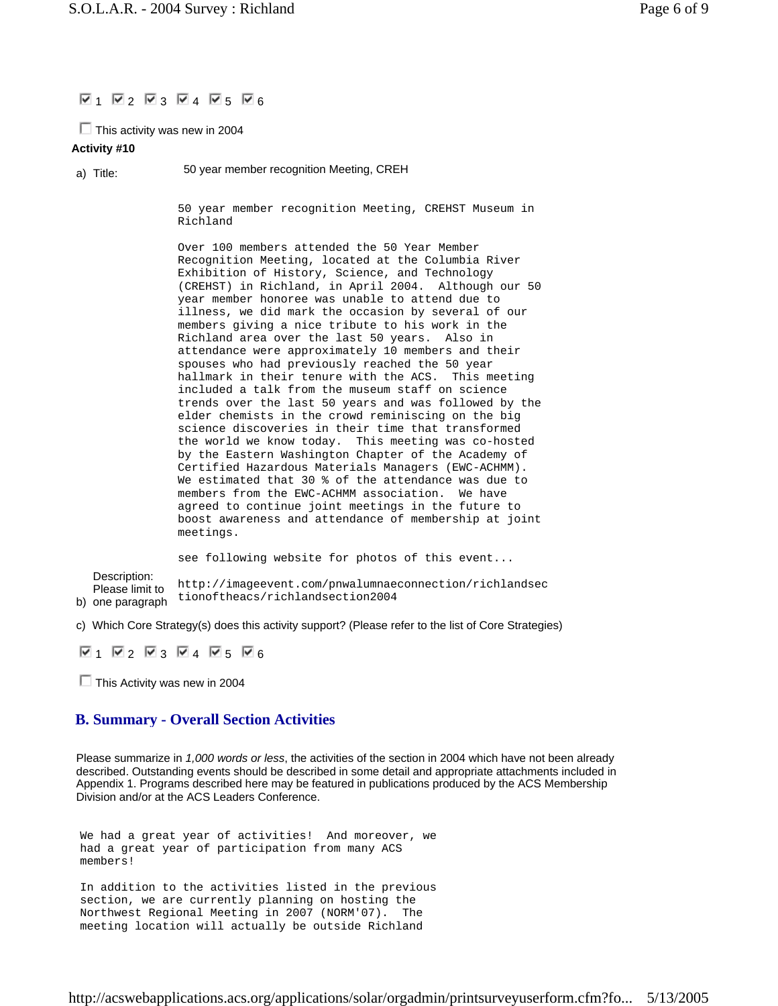## $\Psi_1$   $\Psi_2$   $\Psi_3$   $\Psi_4$   $\Psi_5$   $\Psi_6$

 $\Box$  This activity was new in 2004

### **Activity #10**

a) Title: 50 year member recognition Meeting, CREH

50 year member recognition Meeting, CREHST Museum in Richland

Over 100 members attended the 50 Year Member Recognition Meeting, located at the Columbia River Exhibition of History, Science, and Technology (CREHST) in Richland, in April 2004. Although our 50 year member honoree was unable to attend due to illness, we did mark the occasion by several of our members giving a nice tribute to his work in the Richland area over the last 50 years. Also in attendance were approximately 10 members and their spouses who had previously reached the 50 year hallmark in their tenure with the ACS. This meeting included a talk from the museum staff on science trends over the last 50 years and was followed by the elder chemists in the crowd reminiscing on the big science discoveries in their time that transformed the world we know today. This meeting was co-hosted by the Eastern Washington Chapter of the Academy of Certified Hazardous Materials Managers (EWC-ACHMM). We estimated that 30 % of the attendance was due to members from the EWC-ACHMM association. We have agreed to continue joint meetings in the future to boost awareness and attendance of membership at joint meetings.

b) Description: Please limit to neace mints tionoftheacs/richlandsection2004 see following website for photos of this event... http://imageevent.com/pnwalumnaeconnection/richlandsec

c) Which Core Strategy(s) does this activity support? (Please refer to the list of Core Strategies)

 $\nabla$ 1  $\nabla$ 2  $\nabla$ 3  $\nabla$ 4  $\nabla$ 5  $\nabla$ 6

 $\Box$  This Activity was new in 2004

# **B. Summary - Overall Section Activities**

Please summarize in *1,000 words or less*, the activities of the section in 2004 which have not been already described. Outstanding events should be described in some detail and appropriate attachments included in Appendix 1. Programs described here may be featured in publications produced by the ACS Membership Division and/or at the ACS Leaders Conference.

```
We had a great year of activities! And moreover, we 
had a great year of participation from many ACS 
members!
```

```
In addition to the activities listed in the previous 
section, we are currently planning on hosting the 
Northwest Regional Meeting in 2007 (NORM'07). The 
meeting location will actually be outside Richland
```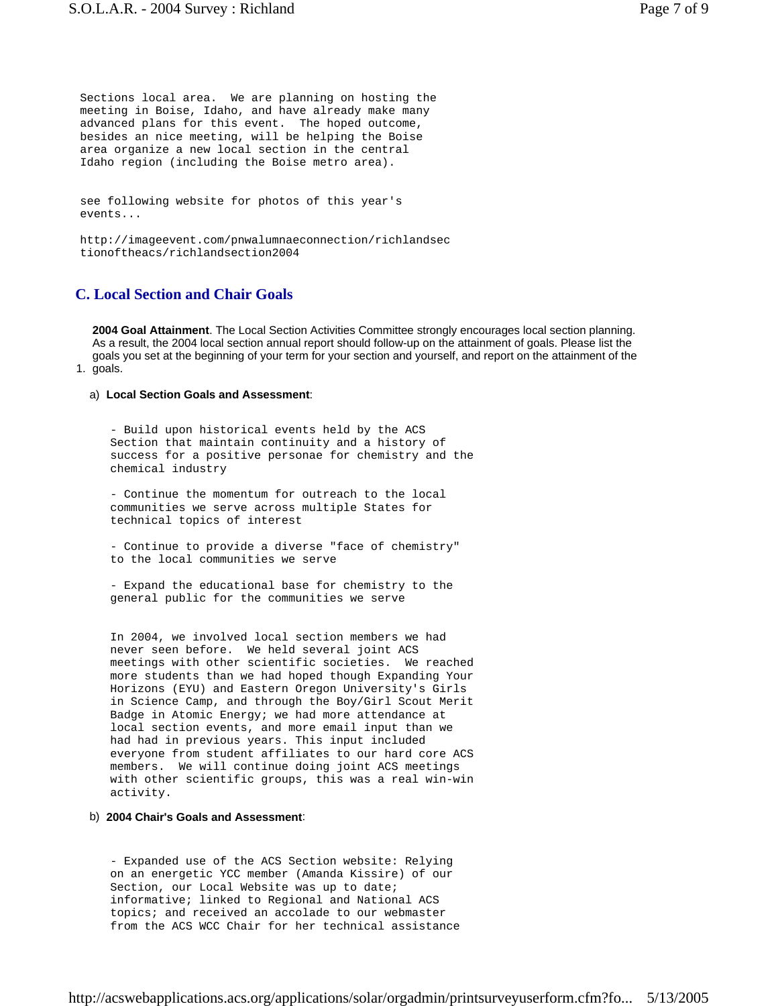Sections local area. We are planning on hosting the meeting in Boise, Idaho, and have already make many advanced plans for this event. The hoped outcome, besides an nice meeting, will be helping the Boise area organize a new local section in the central Idaho region (including the Boise metro area).

see following website for photos of this year's events...

http://imageevent.com/pnwalumnaeconnection/richlandsec tionoftheacs/richlandsection2004

## **C. Local Section and Chair Goals**

1. goals. **2004 Goal Attainment**. The Local Section Activities Committee strongly encourages local section planning. As a result, the 2004 local section annual report should follow-up on the attainment of goals. Please list the goals you set at the beginning of your term for your section and yourself, and report on the attainment of the

#### a) **Local Section Goals and Assessment**:

- Build upon historical events held by the ACS Section that maintain continuity and a history of success for a positive personae for chemistry and the chemical industry

- Continue the momentum for outreach to the local communities we serve across multiple States for technical topics of interest

- Continue to provide a diverse "face of chemistry" to the local communities we serve

- Expand the educational base for chemistry to the general public for the communities we serve

In 2004, we involved local section members we had never seen before. We held several joint ACS meetings with other scientific societies. We reached more students than we had hoped though Expanding Your Horizons (EYU) and Eastern Oregon University's Girls in Science Camp, and through the Boy/Girl Scout Merit Badge in Atomic Energy; we had more attendance at local section events, and more email input than we had had in previous years. This input included everyone from student affiliates to our hard core ACS members. We will continue doing joint ACS meetings with other scientific groups, this was a real win-win activity.

#### b) **2004 Chair's Goals and Assessment**:

- Expanded use of the ACS Section website: Relying on an energetic YCC member (Amanda Kissire) of our Section, our Local Website was up to date; informative; linked to Regional and National ACS topics; and received an accolade to our webmaster from the ACS WCC Chair for her technical assistance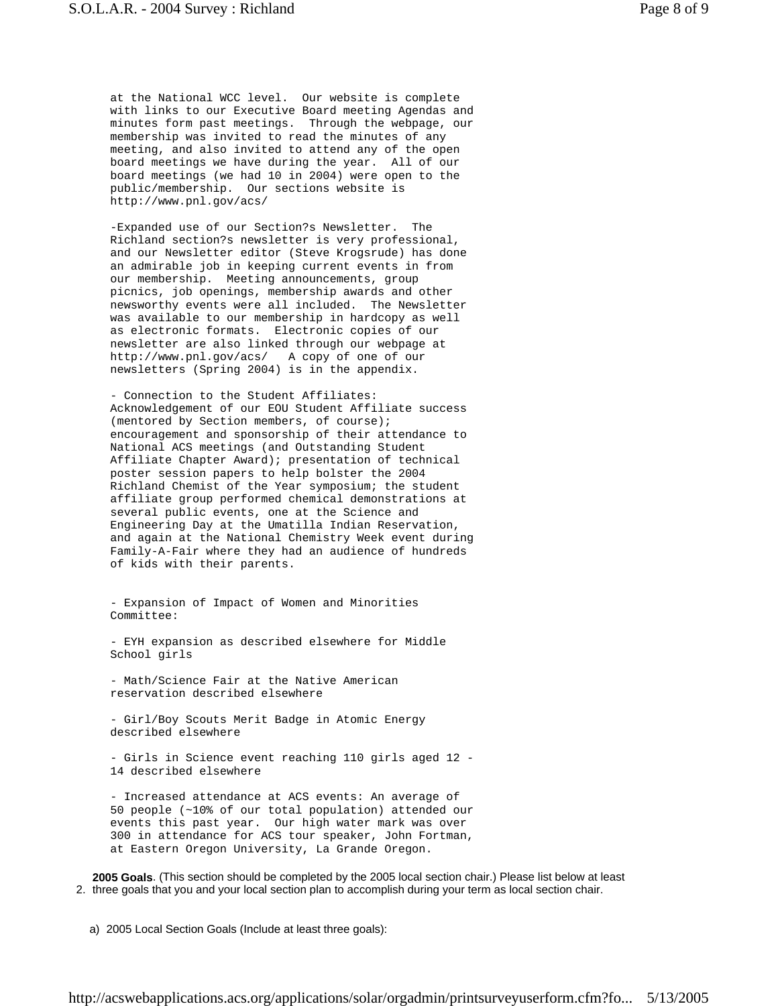at the National WCC level. Our website is complete with links to our Executive Board meeting Agendas and minutes form past meetings. Through the webpage, our membership was invited to read the minutes of any meeting, and also invited to attend any of the open board meetings we have during the year. All of our board meetings (we had 10 in 2004) were open to the public/membership. Our sections website is http://www.pnl.gov/acs/

-Expanded use of our Section?s Newsletter. The Richland section?s newsletter is very professional, and our Newsletter editor (Steve Krogsrude) has done an admirable job in keeping current events in from our membership. Meeting announcements, group picnics, job openings, membership awards and other newsworthy events were all included. The Newsletter was available to our membership in hardcopy as well as electronic formats. Electronic copies of our newsletter are also linked through our webpage at http://www.pnl.gov/acs/ A copy of one of our newsletters (Spring 2004) is in the appendix.

- Connection to the Student Affiliates: Acknowledgement of our EOU Student Affiliate success (mentored by Section members, of course); encouragement and sponsorship of their attendance to National ACS meetings (and Outstanding Student Affiliate Chapter Award); presentation of technical poster session papers to help bolster the 2004 Richland Chemist of the Year symposium; the student affiliate group performed chemical demonstrations at several public events, one at the Science and Engineering Day at the Umatilla Indian Reservation, and again at the National Chemistry Week event during Family-A-Fair where they had an audience of hundreds of kids with their parents.

- Expansion of Impact of Women and Minorities Committee:

- EYH expansion as described elsewhere for Middle School girls

- Math/Science Fair at the Native American reservation described elsewhere

- Girl/Boy Scouts Merit Badge in Atomic Energy described elsewhere

- Girls in Science event reaching 110 girls aged 12 - 14 described elsewhere

- Increased attendance at ACS events: An average of 50 people (~10% of our total population) attended our events this past year. Our high water mark was over 300 in attendance for ACS tour speaker, John Fortman, at Eastern Oregon University, La Grande Oregon.

2. three goals that you and your local section plan to accomplish during your term as local section chair. **2005 Goals**. (This section should be completed by the 2005 local section chair.) Please list below at least

a) 2005 Local Section Goals (Include at least three goals):